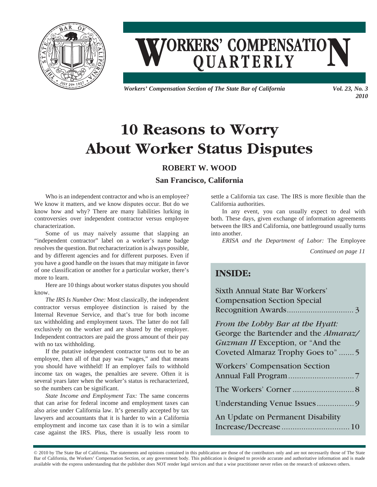

# **WORKERS' COMPENSATION**

*Workers' Compensation Section of The State Bar of California Vol. 23, No. 3* 

*2010*

## **10 Reasons to Worry About Worker Status Disputes**

#### **ROBERT W. WOOD**

#### **San Francisco, California**

Who is an independent contractor and who is an employee? We know it matters, and we know disputes occur. But do we know how and why? There are many liabilities lurking in controversies over independent contractor versus employee characterization.

Some of us may naively assume that slapping an "independent contractor" label on a worker's name badge resolves the question. But recharacterization is always possible, and by different agencies and for different purposes. Even if you have a good handle on the issues that may mitigate in favor of one classification or another for a particular worker, there's more to learn.

Here are 10 things about worker status disputes you should know.

*The IRS Is Number One:* Most classically, the independent contractor versus employee distinction is raised by the Internal Revenue Service, and that's true for both income tax withholding and employment taxes. The latter do not fall exclusively on the worker and are shared by the employer. Independent contractors are paid the gross amount of their pay with no tax withholding.

If the putative independent contractor turns out to be an employee, then all of that pay was "wages," and that means you should have withheld! If an employer fails to withhold income tax on wages, the penalties are severe. Often it is several years later when the worker's status is recharacterized, so the numbers can be significant.

*State Income and Employment Tax:* The same concerns that can arise for federal income and employment taxes can also arise under California law. It's generally accepted by tax lawyers and accountants that it is harder to win a California employment and income tax case than it is to win a similar case against the IRS. Plus, there is usually less room to

settle a California tax case. The IRS is more flexible than the California authorities.

In any event, you can usually expect to deal with both. These days, given exchange of information agreements between the IRS and California, one battleground usually turns into another.

*ERISA and the Department of Labor:* The Employee

*Continued on page 11*

### **INSIDE:**

| <b>Sixth Annual State Bar Workers'</b>        |
|-----------------------------------------------|
| <b>Compensation Section Special</b>           |
|                                               |
| From the Lobby Bar at the Hyatt:              |
| George the Bartender and the <i>Almaraz</i> / |
| <i>Guzman II</i> Exception, or "And the       |
| Coveted Almaraz Trophy Goes to"5              |
| <b>Workers' Compensation Section</b>          |
|                                               |
|                                               |
|                                               |
| An Update on Permanent Disability             |
|                                               |

© 2010 by The State Bar of California. The statements and opinions contained in this publication are those of the contributors only and are not necessarily those of The State Bar of California, the Workers' Compensation Section, or any government body. This publication is designed to provide accurate and authoritative information and is made available with the express understanding that the publisher does NOT render legal services and that a wise practitioner never relies on the research of unknown others.